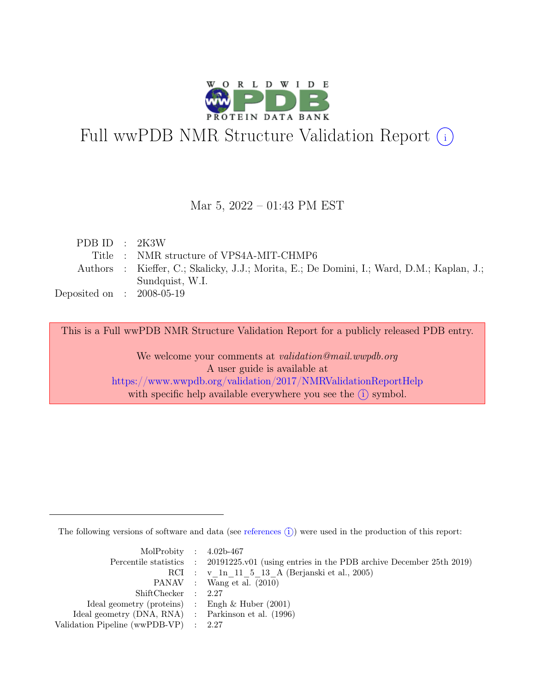

# Full wwPDB NMR Structure Validation Report (i)

#### Mar 5, 2022 – 01:43 PM EST

| PDB ID : $2K3W$             |                                                                                           |
|-----------------------------|-------------------------------------------------------------------------------------------|
|                             | Title : NMR structure of VPS4A-MIT-CHMP6                                                  |
|                             | Authors : Kieffer, C.; Skalicky, J.J.; Morita, E.; De Domini, I.; Ward, D.M.; Kaplan, J.; |
|                             | Sundquist, W.I.                                                                           |
| Deposited on : $2008-05-19$ |                                                                                           |

This is a Full wwPDB NMR Structure Validation Report for a publicly released PDB entry.

We welcome your comments at *validation@mail.wwpdb.org* A user guide is available at <https://www.wwpdb.org/validation/2017/NMRValidationReportHelp> with specific help available everywhere you see the  $(i)$  symbol.

The following versions of software and data (see [references](https://www.wwpdb.org/validation/2017/NMRValidationReportHelp#references)  $\hat{I}$ ) were used in the production of this report:

| MolProbity : $4.02b-467$                            |                                                                                            |
|-----------------------------------------------------|--------------------------------------------------------------------------------------------|
|                                                     | Percentile statistics : 20191225.v01 (using entries in the PDB archive December 25th 2019) |
|                                                     | RCI : v 1n 11 5 13 A (Berjanski et al., 2005)                                              |
|                                                     | PANAV : Wang et al. (2010)                                                                 |
| ShiftChecker : 2.27                                 |                                                                                            |
| Ideal geometry (proteins) : Engh $\&$ Huber (2001)  |                                                                                            |
| Ideal geometry (DNA, RNA) : Parkinson et al. (1996) |                                                                                            |
| Validation Pipeline (wwPDB-VP) : 2.27               |                                                                                            |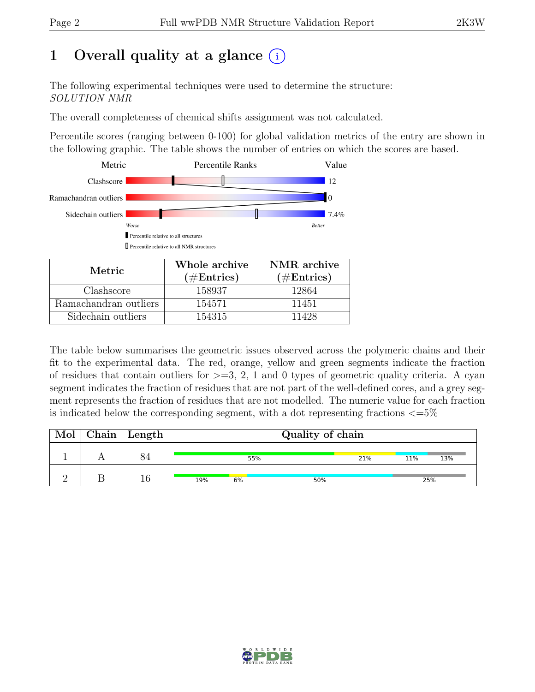## 1 Overall quality at a glance  $(i)$

The following experimental techniques were used to determine the structure: SOLUTION NMR

The overall completeness of chemical shifts assignment was not calculated.

Percentile scores (ranging between 0-100) for global validation metrics of the entry are shown in the following graphic. The table shows the number of entries on which the scores are based.



| Metric                | Whole archive | NMR archive   |
|-----------------------|---------------|---------------|
|                       | $(\#Entries)$ | $(\#Entries)$ |
| Clashscore            | 158937        | 12864         |
| Ramachandran outliers | 154571        | 11451         |
| Sidechain outliers    | 154315        | 11428         |

The table below summarises the geometric issues observed across the polymeric chains and their fit to the experimental data. The red, orange, yellow and green segments indicate the fraction of residues that contain outliers for  $>=$  3, 2, 1 and 0 types of geometric quality criteria. A cyan segment indicates the fraction of residues that are not part of the well-defined cores, and a grey segment represents the fraction of residues that are not modelled. The numeric value for each fraction is indicated below the corresponding segment, with a dot representing fractions  $\langle=5\%$ 

| Mol | $Chain \mid Length$ |     | Quality of chain |     |     |     |     |
|-----|---------------------|-----|------------------|-----|-----|-----|-----|
|     |                     |     | 55%              |     | 21% | 11% | 13% |
|     | 16                  | 19% | 6%               | 50% |     |     | 25% |

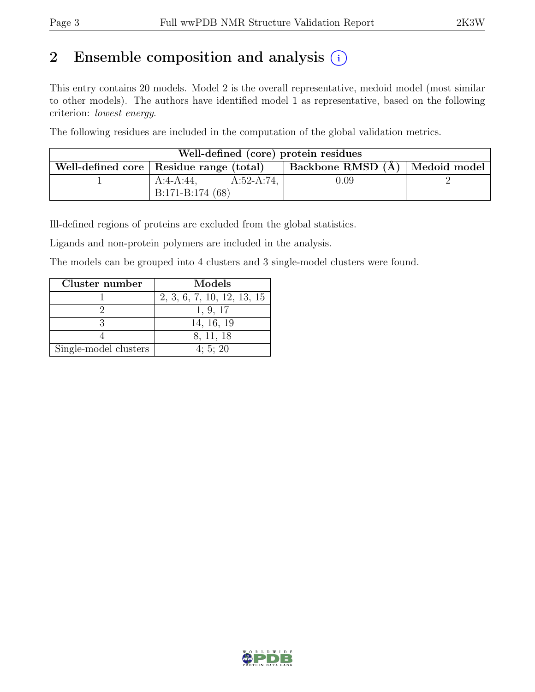## 2 Ensemble composition and analysis  $(i)$

This entry contains 20 models. Model 2 is the overall representative, medoid model (most similar to other models). The authors have identified model 1 as representative, based on the following criterion: lowest energy.

The following residues are included in the computation of the global validation metrics.

| Well-defined (core) protein residues      |                   |               |                                  |  |  |  |
|-------------------------------------------|-------------------|---------------|----------------------------------|--|--|--|
| Well-defined core   Residue range (total) |                   |               | Backbone RMSD (Å)   Medoid model |  |  |  |
|                                           | A:4-A:44,         | $A:52-A:74$ , | $0.09\,$                         |  |  |  |
|                                           | $B:171-B:174(68)$ |               |                                  |  |  |  |

Ill-defined regions of proteins are excluded from the global statistics.

Ligands and non-protein polymers are included in the analysis.

The models can be grouped into 4 clusters and 3 single-model clusters were found.

| Cluster number        | Models                     |
|-----------------------|----------------------------|
|                       | 2, 3, 6, 7, 10, 12, 13, 15 |
|                       | 1, 9, 17                   |
|                       | 14, 16, 19                 |
|                       | 8, 11, 18                  |
| Single-model clusters | 4:5:20                     |

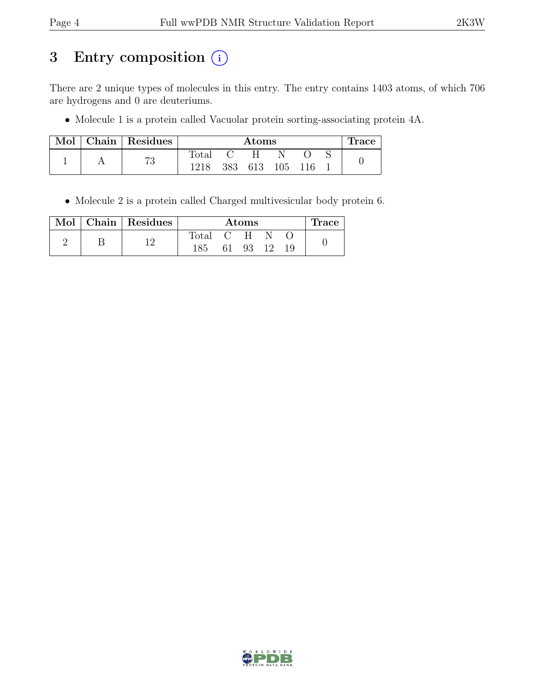## 3 Entry composition (i)

There are 2 unique types of molecules in this entry. The entry contains 1403 atoms, of which 706 are hydrogens and 0 are deuteriums.

• Molecule 1 is a protein called Vacuolar protein sorting-associating protein 4A.

| Mol | Chain Residues | Atoms          |     |     |     | <b>Trace</b> |  |  |
|-----|----------------|----------------|-----|-----|-----|--------------|--|--|
|     | הי             | $_{\rm Total}$ |     |     |     |              |  |  |
|     | ιU             | 1218           | 383 | 613 | 105 | 116          |  |  |

• Molecule 2 is a protein called Charged multivesicular body protein 6.

|  | Mol   Chain   Residues | Atoms |    |       |      | race |  |
|--|------------------------|-------|----|-------|------|------|--|
|  |                        | Total |    | $C-H$ |      |      |  |
|  |                        | 185   | 61 | 93    | - 12 |      |  |

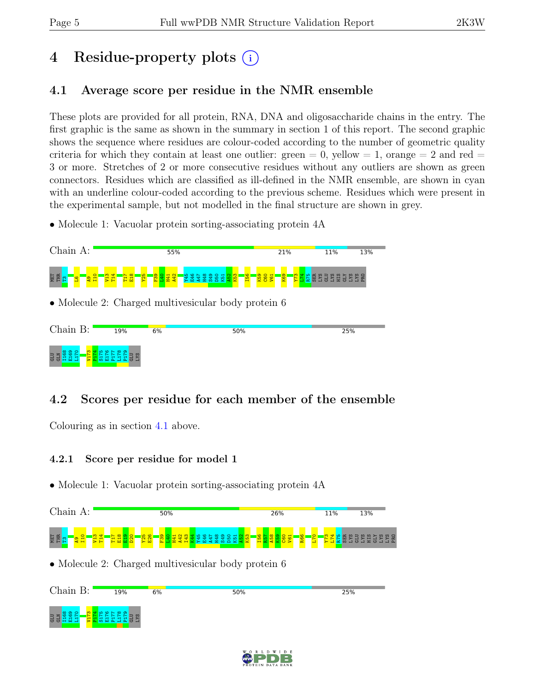## 4 Residue-property plots (i)

### <span id="page-4-0"></span>4.1 Average score per residue in the NMR ensemble

These plots are provided for all protein, RNA, DNA and oligosaccharide chains in the entry. The first graphic is the same as shown in the summary in section 1 of this report. The second graphic shows the sequence where residues are colour-coded according to the number of geometric quality criteria for which they contain at least one outlier: green  $= 0$ , yellow  $= 1$ , orange  $= 2$  and red  $=$ 3 or more. Stretches of 2 or more consecutive residues without any outliers are shown as green connectors. Residues which are classified as ill-defined in the NMR ensemble, are shown in cyan with an underline colour-coded according to the previous scheme. Residues which were present in the experimental sample, but not modelled in the final structure are shown in grey.

• Molecule 1: Vacuolar protein sorting-associating protein  $4A$ 



### 4.2 Scores per residue for each member of the ensemble

Colouring as in section [4.1](#page-4-0) above.

#### 4.2.1 Score per residue for model 1



• Molecule 2: Charged multivesicular body protein 6



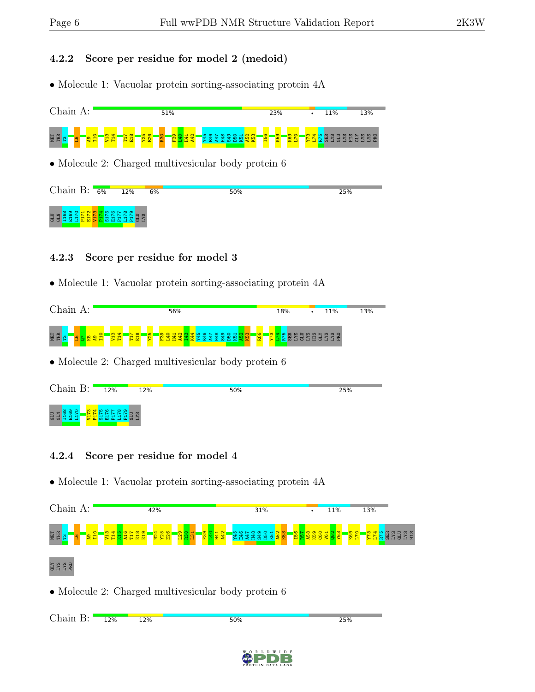#### 4.2.2 Score per residue for model 2 (medoid)

• Molecule 1: Vacuolar protein sorting-associating protein 4A



#### 4.2.3 Score per residue for model 3

• Molecule 1: Vacuolar protein sorting-associating protein 4A



• Molecule 2: Charged multivesicular body protein 6



#### 4.2.4 Score per residue for model 4



```
Chain B:25%
12%
        12%
                             50%
```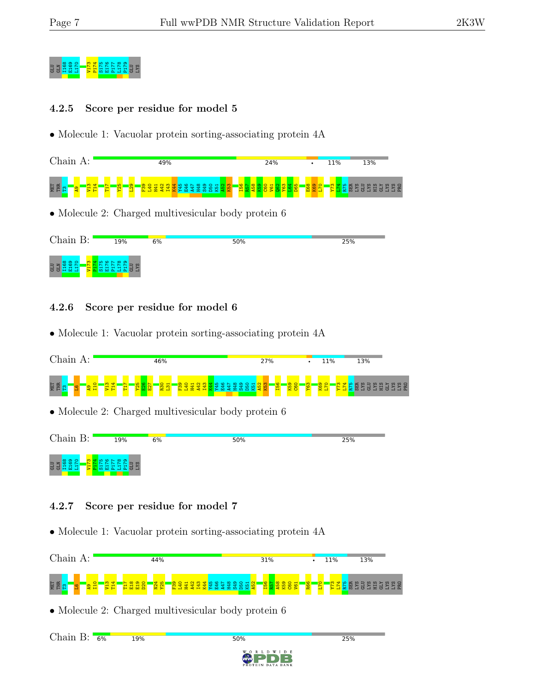

#### 4.2.5 Score per residue for model 5

• Molecule 1: Vacuolar protein sorting-associating protein 4A

| $\cap$                                               | 49%      | 24%      | 11%             | 13%                                                                  |
|------------------------------------------------------|----------|----------|-----------------|----------------------------------------------------------------------|
| NET<br>THR<br><b>SC</b><br><b>CHI</b><br>ത<br>얊<br>н | $\sigma$ | <b>O</b> | $\infty$<br>စ္က | $\Omega$ $\Omega$<br>œ<br><b>CO</b><br>m<br>$\overline{5}$<br>晨<br>븅 |

• Molecule 2: Charged multivesicular body protein 6



#### 4.2.6 Score per residue for model 6

• Molecule 1: Vacuolar protein sorting-associating protein 4A



• Molecule 2: Charged multivesicular body protein 6



#### 4.2.7 Score per residue for model 7

**19%** 

• Molecule 1: Vacuolar protein sorting-associating protein 4A



50%

• Molecule 2: Charged multivesicular body protein 6

Chain B: 6%



25%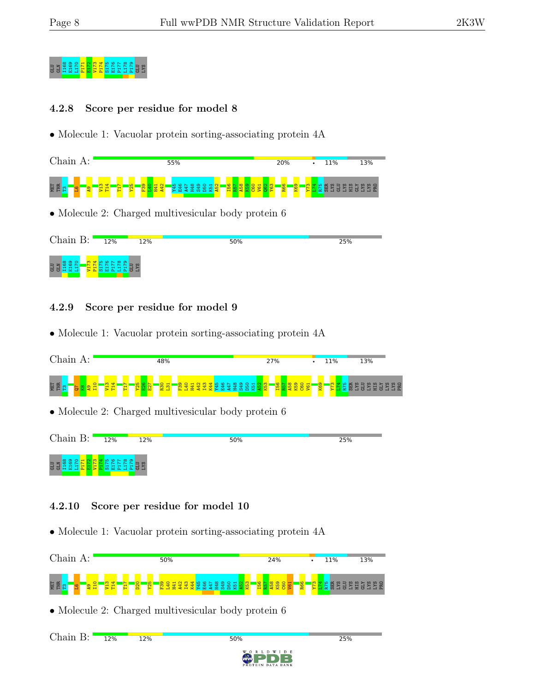## g<br>Glan Benedict Information<br>Blan Blan Blan Blan Blan Street

#### 4.2.8 Score per residue for model 8

• Molecule 1: Vacuolar protein sorting-associating protein 4A

| $\gamma$ hain<br>Α:                          | 55%               | 20%            | 13%<br>11% |
|----------------------------------------------|-------------------|----------------|------------|
| NET<br>THR<br>m<br>₩<br>굡<br>57<br><u>.,</u> | $\bullet$<br>- 19 | 8 <sup>o</sup> | 農<br>冨     |

• Molecule 2: Charged multivesicular body protein 6

| Chain B:                                                   | 12% | 12% | 50% | 25% |
|------------------------------------------------------------|-----|-----|-----|-----|
| $\circ$ $\circ$ $\circ$<br><b>ATD</b><br>CTD<br><b>COL</b> |     |     |     |     |

#### 4.2.9 Score per residue for model 9

• Molecule 1: Vacuolar protein sorting-associating protein 4A



• Molecule 2: Charged multivesicular body protein 6



#### 4.2.10 Score per residue for model 10

• Molecule 1: Vacuolar protein sorting-associating protein 4A



50%

• Molecule 2: Charged multivesicular body protein 6

Chain B: 12% **12%** 



25%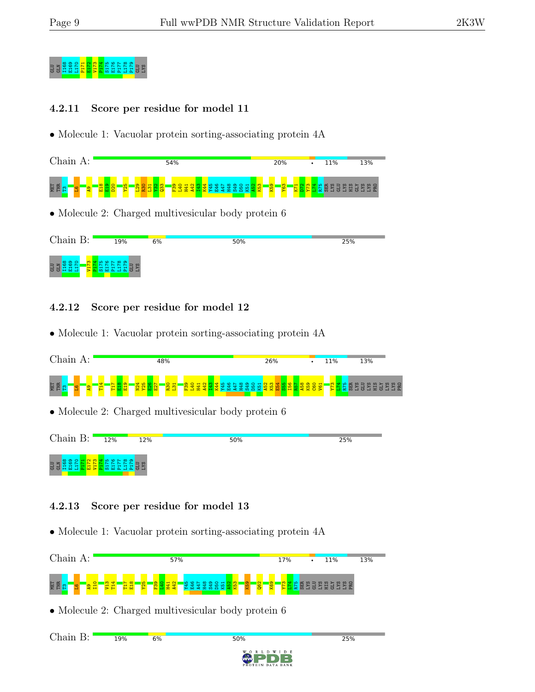## g<br>Glan Benedict Information<br>Bland Bland Bland Bland Bland Bland Bland Bland Bland Bland Bland Bland Bland Bland B

#### 4.2.11 Score per residue for model 11

• Molecule 1: Vacuolar protein sorting-associating protein 4A

| Chain<br>А:                  | 54%               | 20%            | 13%<br>11%                       |
|------------------------------|-------------------|----------------|----------------------------------|
| <b>MET</b><br>$\infty$<br>/单 | മ<br>-<br>o.<br>. | က<br>စ္ကာ<br>- | $\omega$ $\Omega$<br>븝<br>氏<br>局 |

• Molecule 2: Charged multivesicular body protein 6

| Chain B:                                               | 19% | 6% | 50% | 25% |
|--------------------------------------------------------|-----|----|-----|-----|
| $\infty$<br>$\circ$<br><b>ATD</b><br>CTD<br><b>COL</b> |     |    |     |     |

#### 4.2.12 Score per residue for model 12

• Molecule 1: Vacuolar protein sorting-associating protein 4A



• Molecule 2: Charged multivesicular body protein 6



#### 4.2.13 Score per residue for model 13

• Molecule 1: Vacuolar protein sorting-associating protein 4A



W I D E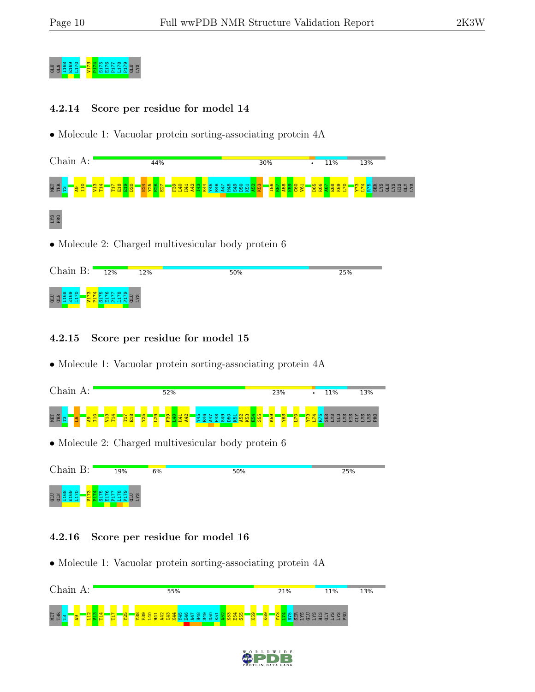

#### 4.2.14 Score per residue for model 14

• Molecule 1: Vacuolar protein sorting-associating protein 4A



| Chain B: | 12% | 12% | 50% | 25% |
|----------|-----|-----|-----|-----|
| P.<br>튱  |     |     |     |     |

#### 4.2.15 Score per residue for model 15

• Molecule 1: Vacuolar protein sorting-associating protein 4A



• Molecule 2: Charged multivesicular body protein 6



#### 4.2.16 Score per residue for model 16



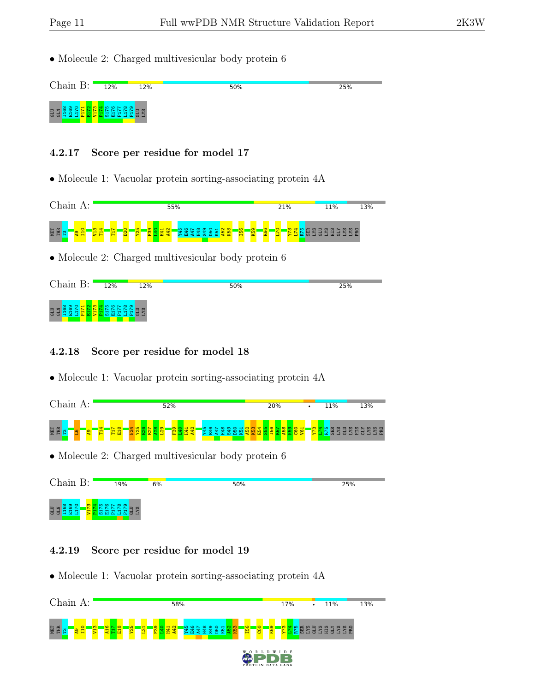• Molecule 2: Charged multivesicular body protein 6



#### 4.2.17 Score per residue for model 17

• Molecule 1: Vacuolar protein sorting-associating protein 4A



| Chain $B:$        | 12% | 12% | 50% | 25% |
|-------------------|-----|-----|-----|-----|
| <b>GLN</b><br>GLN |     |     |     |     |

#### 4.2.18 Score per residue for model 18

• Molecule 1: Vacuolar protein sorting-associating protein 4A



• Molecule 2: Charged multivesicular body protein 6



#### 4.2.19 Score per residue for model 19

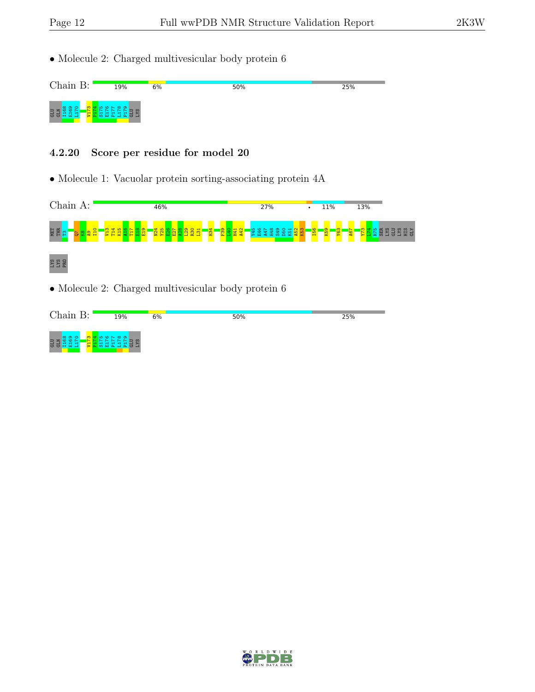• Molecule 2: Charged multivesicular body protein 6



#### 4.2.20 Score per residue for model 20



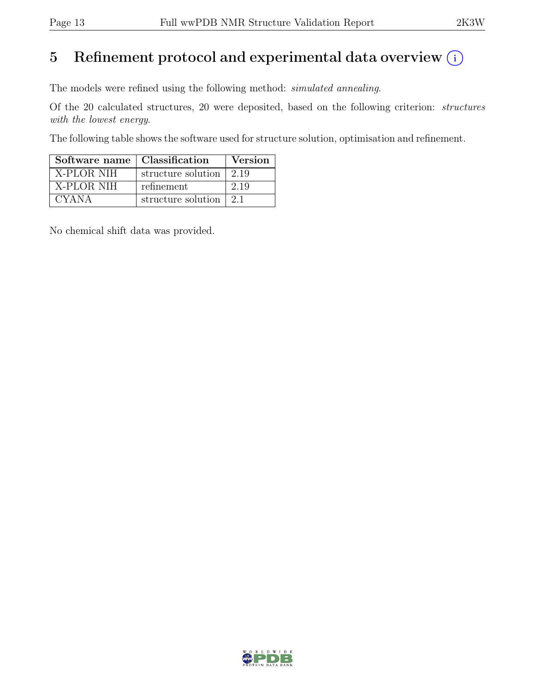## 5 Refinement protocol and experimental data overview  $(i)$

The models were refined using the following method: simulated annealing.

Of the 20 calculated structures, 20 were deposited, based on the following criterion: structures with the lowest energy.

The following table shows the software used for structure solution, optimisation and refinement.

| Software name   Classification |                                         | Version |
|--------------------------------|-----------------------------------------|---------|
| X-PLOR NIH                     | structure solution $\vert 2.19 \rangle$ |         |
| X-PLOR NIH                     | refinement                              | 2.19    |
| <b>CYANA</b>                   | structure solution                      | 21      |

No chemical shift data was provided.

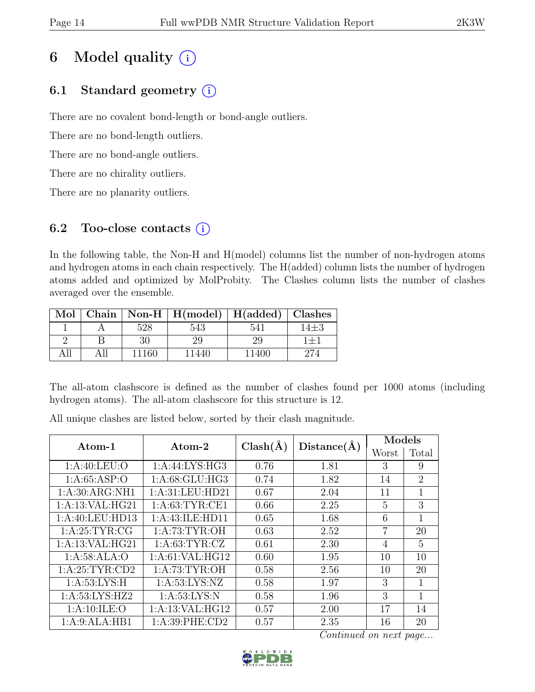## 6 Model quality  $(i)$

## 6.1 Standard geometry  $(i)$

There are no covalent bond-length or bond-angle outliers.

There are no bond-length outliers.

There are no bond-angle outliers.

There are no chirality outliers.

There are no planarity outliers.

### 6.2 Too-close contacts  $(i)$

In the following table, the Non-H and H(model) columns list the number of non-hydrogen atoms and hydrogen atoms in each chain respectively. The H(added) column lists the number of hydrogen atoms added and optimized by MolProbity. The Clashes column lists the number of clashes averaged over the ensemble.

| Mol |       | Chain   Non-H   $H(model)$   $H(added)$   Clashes |       |      |
|-----|-------|---------------------------------------------------|-------|------|
|     | 528   |                                                   | 54    | 14±3 |
|     | 30    | 29                                                | 29    |      |
|     | 11160 | 1440                                              | 11400 |      |

The all-atom clashscore is defined as the number of clashes found per 1000 atoms (including hydrogen atoms). The all-atom clashscore for this structure is 12.

All unique clashes are listed below, sorted by their clash magnitude.

| Atom-1           | Atom-2             | $Clash(\AA)$ | Distance(A) | Models         |                |
|------------------|--------------------|--------------|-------------|----------------|----------------|
|                  |                    |              |             | Worst          | Total          |
| 1: A:40: LEU:O   | 1:A:44:LYS:HG3     | 0.76         | 1.81        | 3              | 9              |
| 1: A:65:ASP:O    | 1: A:68: GLU: HG3  | 0.74         | 1.82        | 14             | $\overline{2}$ |
| 1: A:30: ARG:NH1 | 1:A:31:LEU:HD21    | 0.67         | 2.04        | 11             | 1              |
| 1:A:13:VAL:HG21  | 1: A:63:TYR:CE1    | 0.66         | 2.25        | 5              | 3              |
| 1:A:40:LEU:HD13  | 1:A:43:ILE:HD11    | 0.65         | 1.68        | 6              | 1              |
| 1: A:25:TYR:CG   | 1: A:73: TYR:OH    | 0.63         | 2.52        | 7              | 20             |
| 1:A:13:VAL:HG21  | 1: A:63:TYR:CZ     | 0.61         | 2.30        | $\overline{4}$ | 5              |
| 1: A:58: ALA:O   | 1: A:61: VAL: HG12 | 0.60         | 1.95        | 10             | 10             |
| 1: A:25:TYR:CD2  | 1: A:73: TYR:OH    | 0.58         | 2.56        | 10             | 20             |
| 1: A:53:LYS:H    | 1: A:53: LYS: NZ   | 0.58         | 1.97        | 3              | 1              |
| 1:A:53:LYS:HZ2   | 1: A:53:LYS:N      | 0.58         | 1.96        | 3              | 1              |
| 1: A: 10: ILE: O | 1:A:13:VAL:HG12    | 0.57         | 2.00        | 17             | 14             |
| 1:A:9:ALA:HB1    | 1: A:39: PHE:CD2   | 0.57         | 2.35        | 16             | 20             |

Continued on next page...

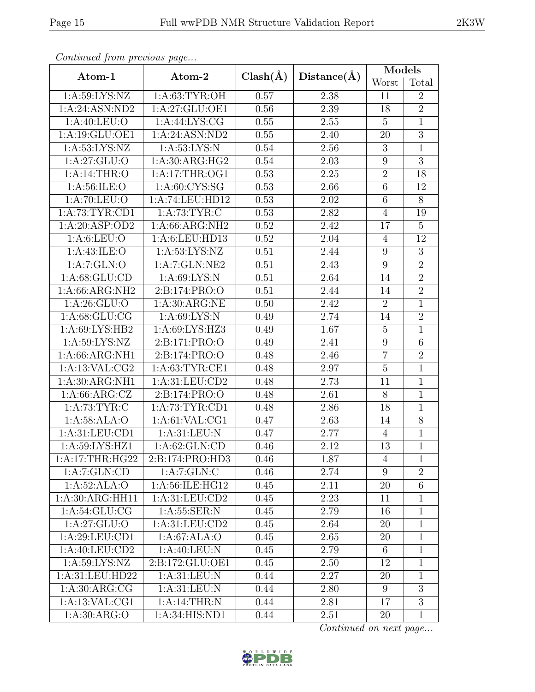| Continued from previous page  |                  |              |                   | Models           |                |
|-------------------------------|------------------|--------------|-------------------|------------------|----------------|
| Atom-1                        | Atom-2           | $Clash(\AA)$ | Distance(A)       | Worst            | Total          |
| 1: A:59: LYS: NZ              | 1: A:63: TYR:OH  | 0.57         | 2.38              | 11               | $\overline{2}$ |
| 1:A:24:ASN:ND2                | 1:A:27:GLU:OE1   | 0.56         | 2.39              | 18               | $\overline{2}$ |
| 1: A:40: LEU:O                | 1: A:44: LYS: CG | 0.55         | 2.55              | $\overline{5}$   | $\mathbf{1}$   |
| 1:A:19:GLU:OE1                | 1:A:24:ASN:ND2   | 0.55         | 2.40              | 20               | $\overline{3}$ |
| 1: A:53: LYS: NZ              | 1: A:53:LYS:N    | 0.54         | 2.56              | 3                | $\mathbf{1}$   |
| 1: A:27: GLU:O                | 1: A:30: ARG:HG2 | 0.54         | $\overline{2.03}$ | $\boldsymbol{9}$ | $\overline{3}$ |
| 1:A:14:THR:O                  | 1:A:17:THR:OG1   | 0.53         | 2.25              | $\sqrt{2}$       | 18             |
| 1: A:56: ILE: O               | 1: A:60: CYS:SG  | 0.53         | 2.66              | 6                | 12             |
| 1: A:70: LEU:O                | 1:A:74:LEU:HD12  | 0.53         | 2.02              | $6\,$            | $8\,$          |
| 1:A:73:TYR:CD1                | 1: A:73:TYR:C    | 0.53         | 2.82              | $\overline{4}$   | 19             |
| 1:A:20:ASP:OD2                | 1:A:66:ARG:NH2   | 0.52         | 2.42              | 17               | $\overline{5}$ |
| 1: A:6: LEU:O                 | 1:A:6:LEU:HD13   | 0.52         | 2.04              | $\overline{4}$   | 12             |
| 1: A:43: ILE: O               | 1: A:53: LYS: NZ | 0.51         | 2.44              | 9                | 3              |
| 1:A:7:GLN:O                   | 1:A:7:GLN:NE2    | 0.51         | 2.43              | 9                | $\overline{2}$ |
| 1: A:68: GLU:CD               | 1: A:69: LYS: N  | 0.51         | 2.64              | 14               | $\overline{2}$ |
| $1: A:66: \overline{ARG:NH2}$ | 2:B:174:PRO:O    | 0.51         | 2.44              | 14               | $\overline{2}$ |
| 1: A:26: GLU:O                | 1: A:30: ARG:NE  | 0.50         | 2.42              | $\overline{2}$   | $\mathbf 1$    |
| 1: A:68: GLU:CG               | 1: A:69: LYS:N   | 0.49         | 2.74              | 14               | $\overline{2}$ |
| 1: A:69: LYS: HB2             | 1:A:69:LYS:HZ3   | 0.49         | 1.67              | $\overline{5}$   | $\mathbf{1}$   |
| 1: A:59: LYS: NZ              | 2:B:171:PRO:O    | 0.49         | 2.41              | $\boldsymbol{9}$ | 6              |
| 1:A:66:ARG:NH1                | 2:B:174:PRO:O    | 0.48         | 2.46              | $\overline{7}$   | $\overline{2}$ |
| 1:A:13:VAL:CG2                | 1: A:63:TYR:CE1  | 0.48         | 2.97              | $\overline{5}$   | $\mathbf{1}$   |
| 1:A:30:ARG:NH1                | 1:A:31:LEU:CD2   | 0.48         | 2.73              | 11               | $\mathbf{1}$   |
| 1: A:66: ARG: CZ              | 2:B:174:PRO:O    | 0.48         | 2.61              | 8                | $\mathbf{1}$   |
| 1: A:73:TYR:C                 | 1: A:73:TYR:CD1  | 0.48         | 2.86              | 18               | $\mathbf{1}$   |
| 1:A:58:ALA:O                  | 1: A:61: VAL:CG1 | 0.47         | 2.63              | 14               | $\overline{8}$ |
| 1: A:31: LEU:CD1              | 1: A:31: LEU: N  | 0.47         | 2.77              | $\overline{4}$   | $\mathbf 1$    |
| $1: A:59: LY\overline{S:HZ1}$ | 1:A:62:GLN:CD    | 0.46         | 2.12              | 13               | $\mathbf 1$    |
| 1: A:17:THR:HG22              | 2:B:174:PRO:HD3  | 0.46         | 1.87              | 4                | $\mathbf{1}$   |
| 1:A:7:GLN:CD                  | 1: A: 7: GLN: C  | 0.46         | 2.74              | 9                | $\overline{2}$ |
| 1:A:52:ALA:O                  | 1:A:56:ILE:HG12  | 0.45         | 2.11              | 20               | $\overline{6}$ |
| 1:A:30:ARG:HH11               | 1: A:31: LEU:CD2 | 0.45         | 2.23              | 11               | 1              |
| 1: A:54: GLU:CG               | 1: A: 55: SER: N | 0.45         | 2.79              | 16               | $\mathbf{1}$   |
| 1: A:27: GLU:O                | 1: A:31: LEU:CD2 | 0.45         | 2.64              | 20               | $\mathbf{1}$   |
| 1:A:29:LEU:CD1                | 1:A:67:ALA:O     | 0.45         | 2.65              | 20               | $\mathbf{1}$   |
| 1:A:40:LEU:CD2                | 1: A:40: LEU: N  | 0.45         | 2.79              | 6                | 1              |
| 1: A:59: LYS: NZ              | 2:B:172:GLU:OE1  | 0.45         | 2.50              | 12               | 1              |
| 1:A:31:LEU:HD22               | 1: A:31: LEU: N  | 0.44         | 2.27              | 20               | $\mathbf{1}$   |
| 1: A:30: ARG: CG              | 1: A:31: LEU: N  | 0.44         | 2.80              | $9\phantom{.0}$  | 3              |
| 1:A:13:VAL:CG1                | 1:A:14:THR:N     | 0.44         | $2.81\,$          | 17               | $\overline{3}$ |
| 1: A:30: ARG:O                | 1:A:34:HIS:ND1   | 0.44         | 2.51              | 20               | $\mathbf{1}$   |

Continued from previous page...

Continued on next page...

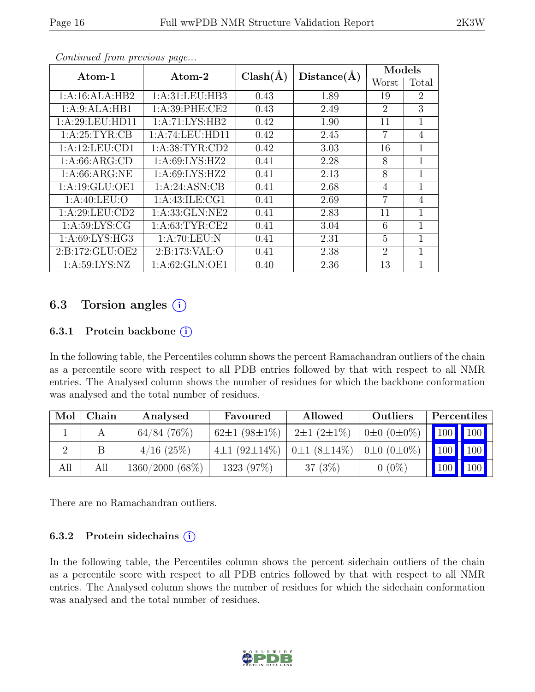|                    |                      | $Clash(\AA)$ | Distance(A) | Models         |                |
|--------------------|----------------------|--------------|-------------|----------------|----------------|
| Atom-1             | $\rm{Atom}\text{-}2$ |              |             | Worst          | Total          |
| 1:A:16:ALA:HB2     | 1: A:31: LEU:HB3     | 0.43         | 1.89        | 19             | $\overline{2}$ |
| 1:A:9:ALA:HB1      | 1: A:39: PHE:CE2     | 0.43         | 2.49        | $\overline{2}$ | 3              |
| 1: A:29: LEU: HD11 | 1:A:71:LYS:HB2       | 0.42         | 1.90        | 11             | 1              |
| 1: A:25:TYR:CB     | 1:A:74:LEU:HD11      | 0.42         | 2.45        | 7              | 4              |
| 1:A:12:LEU:CD1     | 1: A:38:TYR:CD2      | 0.42         | 3.03        | 16             | 1              |
| 1: A:66: ARG:CD    | 1: A:69: LYS: HZ2    | 0.41         | 2.28        | 8              | 1              |
| 1: A:66: ARG:NE    | 1: A:69: LYS: HZ2    | 0.41         | 2.13        | 8              | 1              |
| 1: A: 19: GLU: OE1 | 1:A:24:ASN:CB        | 0.41         | 2.68        | 4              | 1              |
| 1: A:40: LEU:O     | 1: A: 43: ILE: CG1   | 0.41         | 2.69        | $\overline{7}$ | $\overline{4}$ |
| 1:A:29:LEU:CD2     | 1: A: 33: GLN: NE2   | 0.41         | 2.83        | 11             | 1              |
| 1: A:59: LYS: CG   | 1: A:63:TYR:CE2      | 0.41         | 3.04        | 6              | 1              |
| 1:A:69:LYS:HG3     | 1: A:70: LEU: N      | 0.41         | 2.31        | 5              | 1              |
| 2:B:172:GLU:OE2    | 2: B: 173: VAL: O    | 0.41         | 2.38        | $\overline{2}$ | 1              |
| 1: A:59: LYS: NZ   | 1: A:62: GLN:OE1     | 0.40         | 2.36        | 13             | 1              |

Continued from previous page...

### 6.3 Torsion angles  $(i)$

#### 6.3.1 Protein backbone  $(i)$

In the following table, the Percentiles column shows the percent Ramachandran outliers of the chain as a percentile score with respect to all PDB entries followed by that with respect to all NMR entries. The Analysed column shows the number of residues for which the backbone conformation was analysed and the total number of residues.

| Mol | Chain | Analysed<br>Favoured |                    | Allowed                      | Outliers              | Percentiles                  |  |
|-----|-------|----------------------|--------------------|------------------------------|-----------------------|------------------------------|--|
|     |       | $64/84$ (76%)        | $62\pm1(98\pm1\%)$ | $2\pm1(2\pm1\%)$             | $0\pm 0$ $(0\pm 0\%)$ | 100 100                      |  |
|     |       | $4/16$ (25%)         | $4\pm1(92\pm14\%)$ | $0\pm1(8\pm14\%)$ 0±0 (0±0%) |                       | $\mid$ 100 $\mid$ 100        |  |
| All | All   | 1360/2000 (68%)      | 1323 (97%)         | 37 $(3%)$                    | $0(0\%)$              | $\mid$ 100 $\mid$ 100 $\mid$ |  |

There are no Ramachandran outliers.

#### 6.3.2 Protein sidechains  $(i)$

In the following table, the Percentiles column shows the percent sidechain outliers of the chain as a percentile score with respect to all PDB entries followed by that with respect to all NMR entries. The Analysed column shows the number of residues for which the sidechain conformation was analysed and the total number of residues.

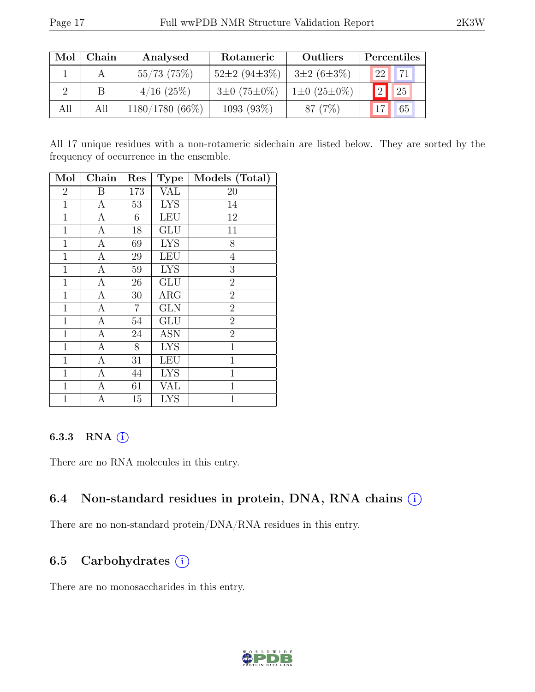| Mol | Chain | Analysed          | Rotameric          | Outliers               | Percentiles |
|-----|-------|-------------------|--------------------|------------------------|-------------|
|     |       | 55/73(75%)        | $52\pm2(94\pm3\%)$ | $3\pm2(6\pm3\%)$       | 171<br>22   |
|     | В     | $4/16$ (25%)      | $3\pm0(75\pm0\%)$  | $1\pm0$ (25 $\pm0\%$ ) | ່າ<br>25    |
| All | All   | $1180/1780(66\%)$ | 1093 (93%)         | 87 (7\%)               | 65          |

All 17 unique residues with a non-rotameric sidechain are listed below. They are sorted by the frequency of occurrence in the ensemble.

| Mol            | Chain            | $\operatorname{Res}% \left( \mathcal{N}\right) \equiv\operatorname{Res}(\mathcal{N}_{0},\mathcal{N}_{0})$ | <b>Type</b>             | Models (Total) |
|----------------|------------------|-----------------------------------------------------------------------------------------------------------|-------------------------|----------------|
| $\overline{2}$ | Β                | 173                                                                                                       | <b>VAL</b>              | 20             |
| $\mathbf{1}$   | $\boldsymbol{A}$ | 53                                                                                                        | <b>LYS</b>              | 14             |
| $\mathbf{1}$   | $\mathbf{A}$     | 6                                                                                                         | <b>LEU</b>              | 12             |
| $\mathbf{1}$   | $\mathbf{A}$     | 18                                                                                                        | GLU                     | 11             |
| $\mathbf 1$    | $\overline{A}$   | 69                                                                                                        | <b>LYS</b>              | 8              |
| $\mathbf{1}$   | А                | 29                                                                                                        | <b>LEU</b>              | 4              |
| $\mathbf 1$    | А                | 59                                                                                                        | <b>LYS</b>              | 3              |
| $\mathbf{1}$   | $\boldsymbol{A}$ | $26\,$                                                                                                    | <b>GLU</b>              | $\overline{2}$ |
| $\mathbf 1$    | $\boldsymbol{A}$ | 30                                                                                                        | ARG                     | $\overline{2}$ |
| $\mathbf 1$    | $\boldsymbol{A}$ | 7                                                                                                         | <b>GLN</b>              | $\overline{2}$ |
| $\mathbf{1}$   | $\boldsymbol{A}$ | $54\,$                                                                                                    | <b>GLU</b>              | $\overline{2}$ |
| $\mathbf{1}$   | $\boldsymbol{A}$ | 24                                                                                                        | <b>ASN</b>              | $\overline{2}$ |
| $\mathbf{1}$   | $\boldsymbol{A}$ | 8                                                                                                         | <b>LYS</b>              | $\mathbf{1}$   |
| $\mathbf{1}$   | $\mathbf{A}$     | 31                                                                                                        | <b>LEU</b>              | $\mathbf{1}$   |
| $\mathbf{1}$   | $\overline{A}$   | 44                                                                                                        | <b>LYS</b>              | $\mathbf{1}$   |
| $\mathbf{1}$   | $\boldsymbol{A}$ | 61                                                                                                        | VAL                     | 1              |
| $\mathbf 1$    | А                | 15                                                                                                        | $\overline{\text{LYS}}$ | $\mathbf{1}$   |

### 6.3.3 RNA  $(i)$

There are no RNA molecules in this entry.

## 6.4 Non-standard residues in protein, DNA, RNA chains (i)

There are no non-standard protein/DNA/RNA residues in this entry.

## 6.5 Carbohydrates (i)

There are no monosaccharides in this entry.

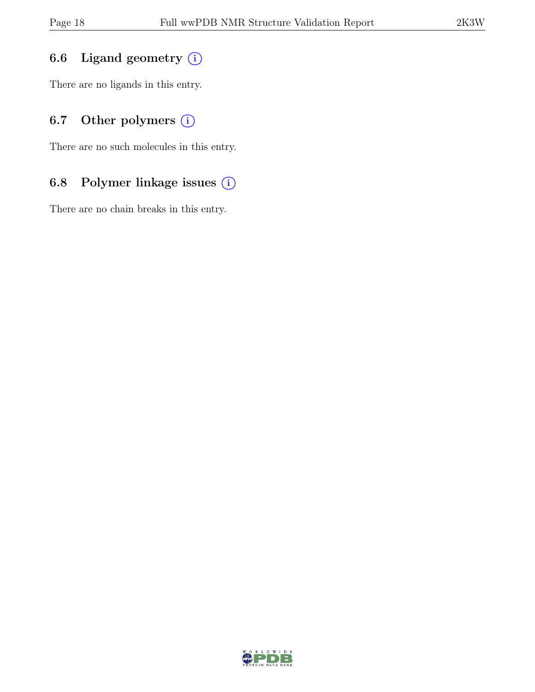### 6.6 Ligand geometry  $(i)$

There are no ligands in this entry.

## 6.7 Other polymers  $(i)$

There are no such molecules in this entry.

### 6.8 Polymer linkage issues (i)

There are no chain breaks in this entry.